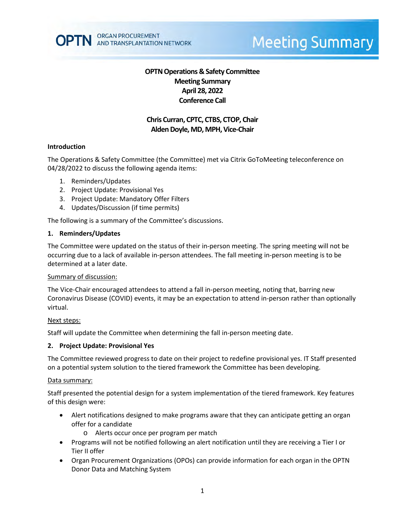# **Meeting Summary**

# **OPTN Operations & Safety Committee Meeting Summary April 28, 2022 Conference Call**

# **Chris Curran, CPTC, CTBS, CTOP, Chair Alden Doyle, MD, MPH, Vice-Chair**

# **Introduction**

The Operations & Safety Committee (the Committee) met via Citrix GoToMeeting teleconference on 04/28/2022 to discuss the following agenda items:

- 1. Reminders/Updates
- 2. Project Update: Provisional Yes
- 3. Project Update: Mandatory Offer Filters
- 4. Updates/Discussion (if time permits)

The following is a summary of the Committee's discussions.

#### **1. Reminders/Updates**

The Committee were updated on the status of their in-person meeting. The spring meeting will not be occurring due to a lack of available in-person attendees. The fall meeting in-person meeting is to be determined at a later date.

#### Summary of discussion:

The Vice-Chair encouraged attendees to attend a fall in-person meeting, noting that, barring new Coronavirus Disease (COVID) events, it may be an expectation to attend in-person rather than optionally virtual.

# Next steps:

Staff will update the Committee when determining the fall in-person meeting date.

#### **2. Project Update: Provisional Yes**

The Committee reviewed progress to date on their project to redefine provisional yes. IT Staff presented on a potential system solution to the tiered framework the Committee has been developing.

#### Data summary:

Staff presented the potential design for a system implementation of the tiered framework. Key features of this design were:

- Alert notifications designed to make programs aware that they can anticipate getting an organ offer for a candidate
	- o Alerts occur once per program per match
- Programs will not be notified following an alert notification until they are receiving a Tier I or Tier II offer
- Organ Procurement Organizations (OPOs) can provide information for each organ in the OPTN Donor Data and Matching System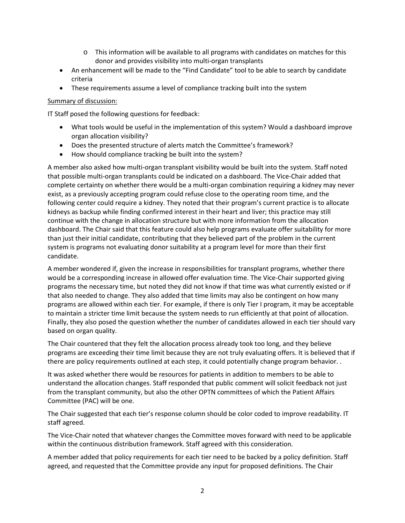- o This information will be available to all programs with candidates on matches for this donor and provides visibility into multi-organ transplants
- An enhancement will be made to the "Find Candidate" tool to be able to search by candidate criteria
- These requirements assume a level of compliance tracking built into the system

# Summary of discussion:

IT Staff posed the following questions for feedback:

- What tools would be useful in the implementation of this system? Would a dashboard improve organ allocation visibility?
- Does the presented structure of alerts match the Committee's framework?
- How should compliance tracking be built into the system?

A member also asked how multi-organ transplant visibility would be built into the system. Staff noted that possible multi-organ transplants could be indicated on a dashboard. The Vice-Chair added that complete certainty on whether there would be a multi-organ combination requiring a kidney may never exist, as a previously accepting program could refuse close to the operating room time, and the following center could require a kidney. They noted that their program's current practice is to allocate kidneys as backup while finding confirmed interest in their heart and liver; this practice may still continue with the change in allocation structure but with more information from the allocation dashboard. The Chair said that this feature could also help programs evaluate offer suitability for more than just their initial candidate, contributing that they believed part of the problem in the current system is programs not evaluating donor suitability at a program level for more than their first candidate.

A member wondered if, given the increase in responsibilities for transplant programs, whether there would be a corresponding increase in allowed offer evaluation time. The Vice-Chair supported giving programs the necessary time, but noted they did not know if that time was what currently existed or if that also needed to change. They also added that time limits may also be contingent on how many programs are allowed within each tier. For example, if there is only Tier I program, it may be acceptable to maintain a stricter time limit because the system needs to run efficiently at that point of allocation. Finally, they also posed the question whether the number of candidates allowed in each tier should vary based on organ quality.

The Chair countered that they felt the allocation process already took too long, and they believe programs are exceeding their time limit because they are not truly evaluating offers. It is believed that if there are policy requirements outlined at each step, it could potentially change program behavior. .

It was asked whether there would be resources for patients in addition to members to be able to understand the allocation changes. Staff responded that public comment will solicit feedback not just from the transplant community, but also the other OPTN committees of which the Patient Affairs Committee (PAC) will be one.

The Chair suggested that each tier's response column should be color coded to improve readability. IT staff agreed.

The Vice-Chair noted that whatever changes the Committee moves forward with need to be applicable within the continuous distribution framework. Staff agreed with this consideration.

A member added that policy requirements for each tier need to be backed by a policy definition. Staff agreed, and requested that the Committee provide any input for proposed definitions. The Chair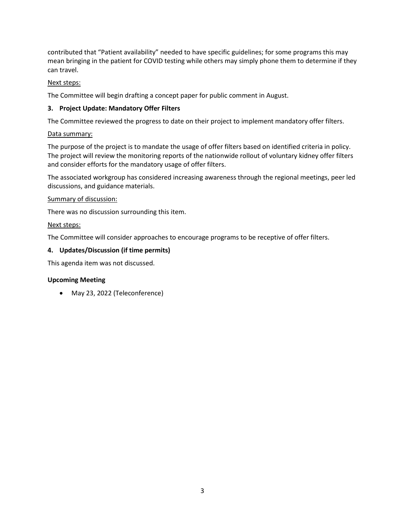contributed that "Patient availability" needed to have specific guidelines; for some programs this may mean bringing in the patient for COVID testing while others may simply phone them to determine if they can travel.

# Next steps:

The Committee will begin drafting a concept paper for public comment in August.

# **3. Project Update: Mandatory Offer Filters**

The Committee reviewed the progress to date on their project to implement mandatory offer filters.

# Data summary:

The purpose of the project is to mandate the usage of offer filters based on identified criteria in policy. The project will review the monitoring reports of the nationwide rollout of voluntary kidney offer filters and consider efforts for the mandatory usage of offer filters.

The associated workgroup has considered increasing awareness through the regional meetings, peer led discussions, and guidance materials.

# Summary of discussion:

There was no discussion surrounding this item.

# Next steps:

The Committee will consider approaches to encourage programs to be receptive of offer filters.

# **4. Updates/Discussion (if time permits)**

This agenda item was not discussed.

# **Upcoming Meeting**

• May 23, 2022 (Teleconference)